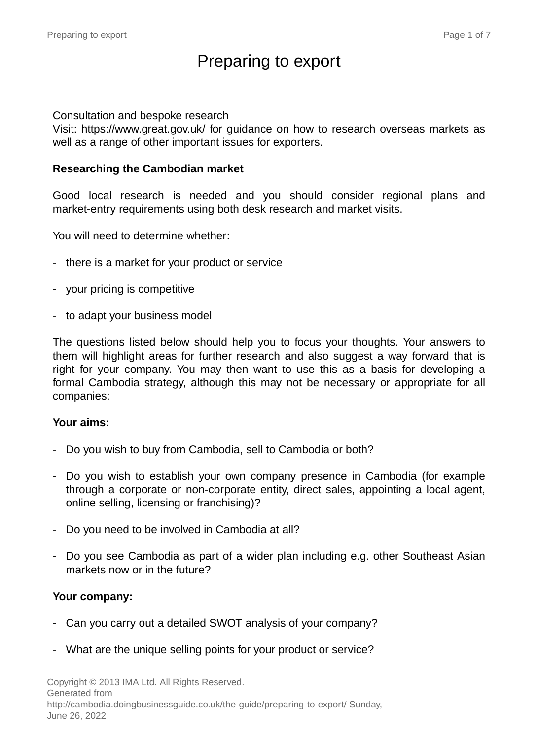# Preparing to export

#### Consultation and bespoke research

Visit: https://www.great.gov.uk/ for guidance on how to research overseas markets as well as a range of other important issues for exporters.

#### **Researching the Cambodian market**

Good local research is needed and you should consider regional plans and market-entry requirements using both desk research and market visits.

You will need to determine whether:

- there is a market for your product or service
- your pricing is competitive
- to adapt your business model

The questions listed below should help you to focus your thoughts. Your answers to them will highlight areas for further research and also suggest a way forward that is right for your company. You may then want to use this as a basis for developing a formal Cambodia strategy, although this may not be necessary or appropriate for all companies:

#### **Your aims:**

- Do you wish to buy from Cambodia, sell to Cambodia or both?
- Do you wish to establish your own company presence in Cambodia (for example through a corporate or non-corporate entity, direct sales, appointing a local agent, online selling, licensing or franchising)?
- Do you need to be involved in Cambodia at all?
- Do you see Cambodia as part of a wider plan including e.g. other Southeast Asian markets now or in the future?

#### **Your company:**

- Can you carry out a detailed SWOT analysis of your company?
- What are the unique selling points for your product or service?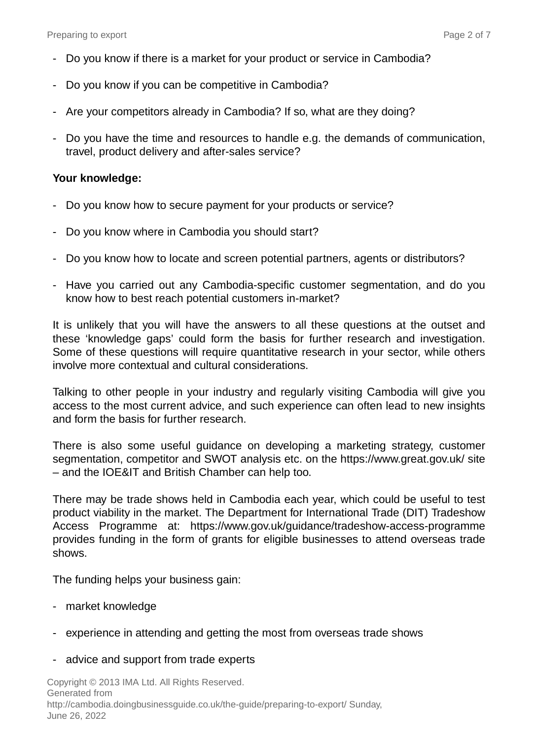- Do you know if there is a market for your product or service in Cambodia?
- Do you know if you can be competitive in Cambodia?
- Are your competitors already in Cambodia? If so, what are they doing?
- Do you have the time and resources to handle e.g. the demands of communication, travel, product delivery and after-sales service?

#### **Your knowledge:**

- Do you know how to secure payment for your products or service?
- Do you know where in Cambodia you should start?
- Do you know how to locate and screen potential partners, agents or distributors?
- Have you carried out any Cambodia-specific customer segmentation, and do you know how to best reach potential customers in-market?

It is unlikely that you will have the answers to all these questions at the outset and these 'knowledge gaps' could form the basis for further research and investigation. Some of these questions will require quantitative research in your sector, while others involve more contextual and cultural considerations.

Talking to other people in your industry and regularly visiting Cambodia will give you access to the most current advice, and such experience can often lead to new insights and form the basis for further research.

There is also some useful guidance on developing a marketing strategy, customer segmentation, competitor and SWOT analysis etc. on the https://www.great.gov.uk/ site – and the IOE&IT and British Chamber can help too.

There may be trade shows held in Cambodia each year, which could be useful to test product viability in the market. The Department for International Trade (DIT) Tradeshow Access Programme at: https://www.gov.uk/guidance/tradeshow-access-programme provides funding in the form of grants for eligible businesses to attend overseas trade shows.

The funding helps your business gain:

- market knowledge
- experience in attending and getting the most from overseas trade shows
- advice and support from trade experts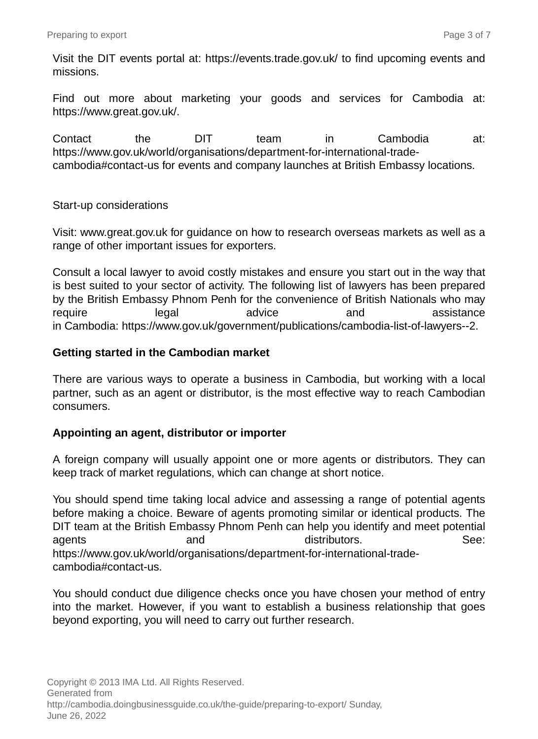Visit the DIT events portal at: https://events.trade.gov.uk/ to find upcoming events and missions.

Find out more about marketing your goods and services for Cambodia at: https://www.great.gov.uk/.

Contact the DIT team in Cambodia at: https://www.gov.uk/world/organisations/department-for-international-tradecambodia#contact-us for events and company launches at British Embassy locations.

#### Start-up considerations

Visit: www.great.gov.uk for guidance on how to research overseas markets as well as a range of other important issues for exporters.

Consult a local lawyer to avoid costly mistakes and ensure you start out in the way that is best suited to your sector of activity. The following list of lawyers has been prepared by the British Embassy Phnom Penh for the convenience of British Nationals who may require and legal advice and assistance in Cambodia: https://www.gov.uk/government/publications/cambodia-list-of-lawyers--2.

### **Getting started in the Cambodian market**

There are various ways to operate a business in Cambodia, but working with a local partner, such as an agent or distributor, is the most effective way to reach Cambodian consumers.

#### **Appointing an agent, distributor or importer**

A foreign company will usually appoint one or more agents or distributors. They can keep track of market regulations, which can change at short notice.

You should spend time taking local advice and assessing a range of potential agents before making a choice. Beware of agents promoting similar or identical products. The DIT team at the British Embassy Phnom Penh can help you identify and meet potential agents and distributors. See: https://www.gov.uk/world/organisations/department-for-international-tradecambodia#contact-us.

You should conduct due diligence checks once you have chosen your method of entry into the market. However, if you want to establish a business relationship that goes beyond exporting, you will need to carry out further research.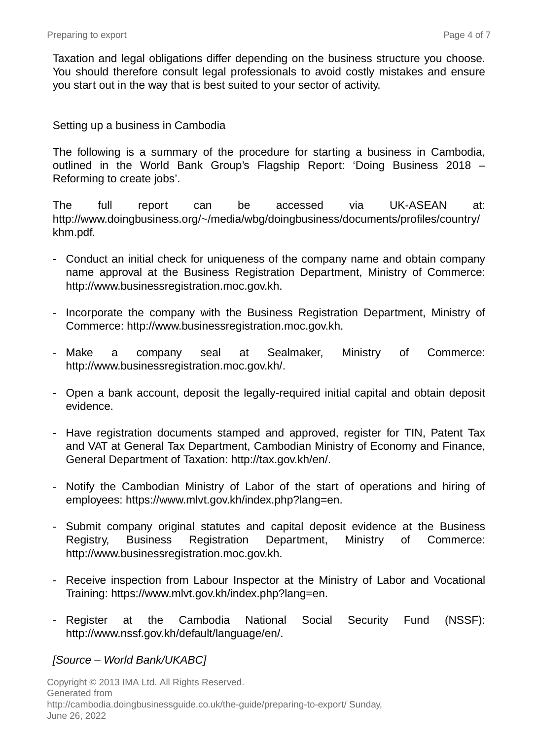Taxation and legal obligations differ depending on the business structure you choose. You should therefore consult legal professionals to avoid costly mistakes and ensure you start out in the way that is best suited to your sector of activity.

#### Setting up a business in Cambodia

The following is a summary of the procedure for starting a business in Cambodia, outlined in the World Bank Group's Flagship Report: 'Doing Business 2018 – Reforming to create jobs'.

The full report can be accessed via UK-ASEAN at: http://www.doingbusiness.org/~/media/wbg/doingbusiness/documents/profiles/country/ khm.pdf.

- Conduct an initial check for uniqueness of the company name and obtain company name approval at the Business Registration Department, Ministry of Commerce: http://www.businessregistration.moc.gov.kh.
- Incorporate the company with the Business Registration Department, Ministry of Commerce: http://www.businessregistration.moc.gov.kh.
- Make a company seal at Sealmaker, Ministry of Commerce: http://www.businessregistration.moc.gov.kh/.
- Open a bank account, deposit the legally-required initial capital and obtain deposit evidence.
- Have registration documents stamped and approved, register for TIN, Patent Tax and VAT at General Tax Department, Cambodian Ministry of Economy and Finance, General Department of Taxation: http://tax.gov.kh/en/.
- Notify the Cambodian Ministry of Labor of the start of operations and hiring of employees: https://www.mlvt.gov.kh/index.php?lang=en.
- Submit company original statutes and capital deposit evidence at the Business Registry, Business Registration Department, Ministry of Commerce: http://www.businessregistration.moc.gov.kh.
- Receive inspection from Labour Inspector at the Ministry of Labor and Vocational Training: https://www.mlvt.gov.kh/index.php?lang=en.
- Register at the Cambodia National Social Security Fund (NSSF): http://www.nssf.gov.kh/default/language/en/.

### [Source – World Bank/UKABC]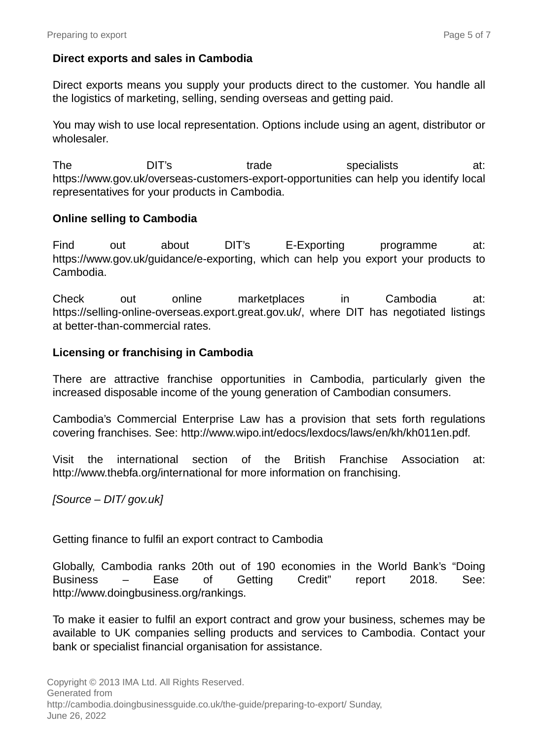### **Direct exports and sales in Cambodia**

Direct exports means you supply your products direct to the customer. You handle all the logistics of marketing, selling, sending overseas and getting paid.

You may wish to use local representation. Options include using an agent, distributor or wholesaler.

The DIT's trade specialists at: https://www.gov.uk/overseas-customers-export-opportunities can help you identify local representatives for your products in Cambodia.

#### **Online selling to Cambodia**

Find out about DIT's E-Exporting programme at: https://www.gov.uk/guidance/e-exporting, which can help you export your products to Cambodia.

Check out online marketplaces in Cambodia at: https://selling-online-overseas.export.great.gov.uk/, where DIT has negotiated listings at better-than-commercial rates.

#### **Licensing or franchising in Cambodia**

There are attractive franchise opportunities in Cambodia, particularly given the increased disposable income of the young generation of Cambodian consumers.

Cambodia's Commercial Enterprise Law has a provision that sets forth regulations covering franchises. See: http://www.wipo.int/edocs/lexdocs/laws/en/kh/kh011en.pdf.

Visit the international section of the British Franchise Association at: http://www.thebfa.org/international for more information on franchising.

#### [Source – DIT/ gov.uk]

Getting finance to fulfil an export contract to Cambodia

Globally, Cambodia ranks 20th out of 190 economies in the World Bank's "Doing Business – Ease of Getting Credit" report 2018. See: http://www.doingbusiness.org/rankings.

To make it easier to fulfil an export contract and grow your business, schemes may be available to UK companies selling products and services to Cambodia. Contact your bank or specialist financial organisation for assistance.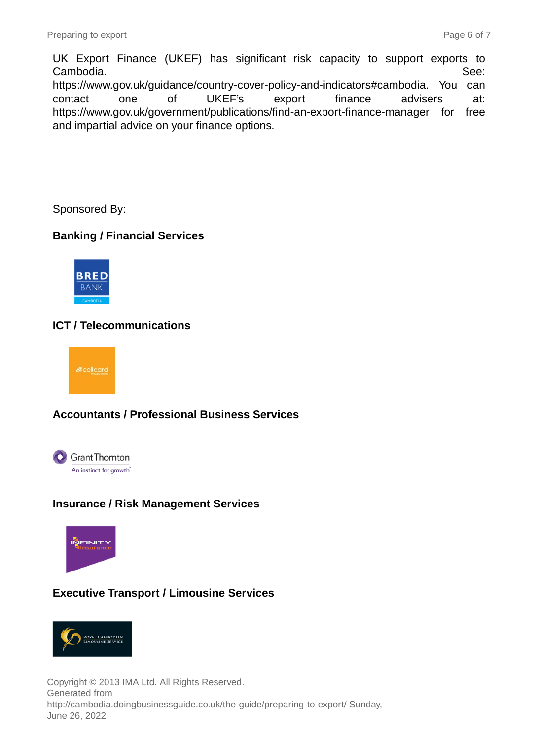UK Export Finance (UKEF) has significant risk capacity to support exports to Cambodia. See: https://www.gov.uk/guidance/country-cover-policy-and-indicators#cambodia. You can contact one of UKEF's export finance advisers at: https://www.gov.uk/government/publications/find-an-export-finance-manager for free and impartial advice on your finance options.

Sponsored By:

# **Banking / Financial Services**



# **ICT / Telecommunications**



### **Accountants / Professional Business Services**



### **Insurance / Risk Management Services**



# **Executive Transport / Limousine Services**



Copyright © 2013 IMA Ltd. All Rights Reserved. Generated from http://cambodia.doingbusinessguide.co.uk/the-guide/preparing-to-export/ Sunday, June 26, 2022